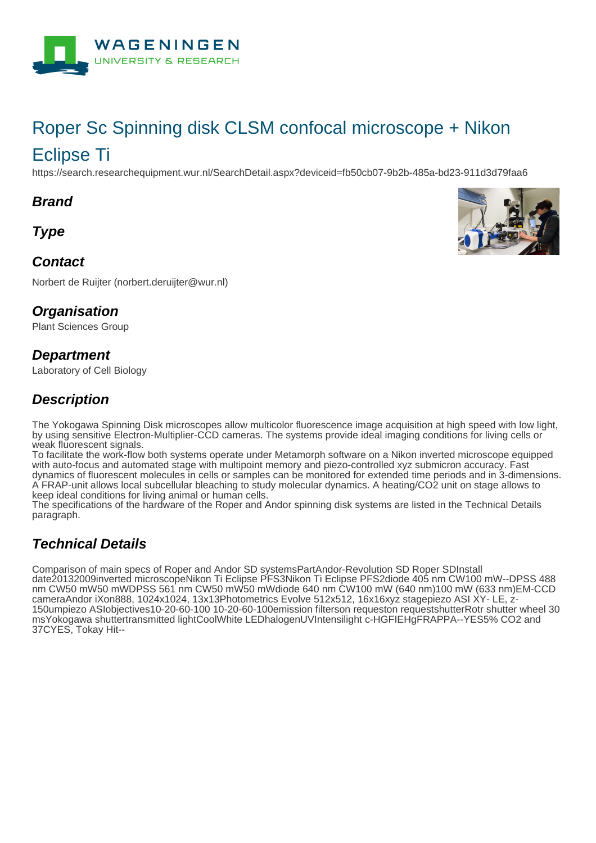

# Roper Sc Spinning disk CLSM confocal microscope + Nikon

# Eclipse Ti

https://search.researchequipment.wur.nl/SearchDetail.aspx?deviceid=fb50cb07-9b2b-485a-bd23-911d3d79faa6

#### **Brand**

**Type**

#### **Contact**

Norbert de Ruijter (norbert.deruijter@wur.nl)

#### **Organisation**

Plant Sciences Group

#### **Department**

Laboratory of Cell Biology

#### **Description**

The Yokogawa Spinning Disk microscopes allow multicolor fluorescence image acquisition at high speed with low light, by using sensitive Electron-Multiplier-CCD cameras. The systems provide ideal imaging conditions for living cells or weak fluorescent signals.

To facilitate the work-flow both systems operate under Metamorph software on a Nikon inverted microscope equipped with auto-focus and automated stage with multipoint memory and piezo-controlled xyz submicron accuracy. Fast dynamics of fluorescent molecules in cells or samples can be monitored for extended time periods and in 3-dimensions. A FRAP-unit allows local subcellular bleaching to study molecular dynamics. A heating/CO2 unit on stage allows to keep ideal conditions for living animal or human cells.

The specifications of the hardware of the Roper and Andor spinning disk systems are listed in the Technical Details paragraph.

## **Technical Details**

Comparison of main specs of Roper and Andor SD systemsPartAndor-Revolution SD Roper SDInstall date20132009inverted microscopeNikon Ti Eclipse PFS3Nikon Ti Eclipse PFS2diode 405 nm CW100 mW--DPSS 488 nm CW50 mW50 mWDPSS 561 nm CW50 mW50 mWdiode 640 nm CW100 mW (640 nm)100 mW (633 nm)EM-CCD cameraAndor iXon888, 1024x1024, 13x13Photometrics Evolve 512x512, 16x16xyz stagepiezo ASI XY- LE, z-150umpiezo ASIobjectives10-20-60-100 10-20-60-100emission filterson requeston requestshutterRotr shutter wheel 30 msYokogawa shuttertransmitted lightCoolWhite LEDhalogenUVIntensilight c-HGFIEHgFRAPPA--YES5% CO2 and 37CYES, Tokay Hit--